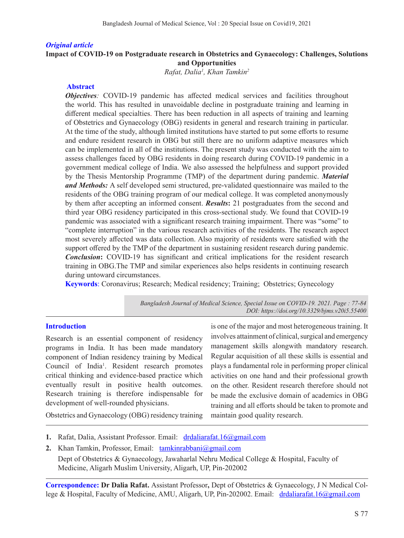## *Original article* **Impact of COVID-19 on Postgraduate research in Obstetrics and Gynaecology: Challenges, Solutions and Opportunities**

*Rafat, Dalia1 , Khan Tamkin2*

## **Abstract**

*Objectives*: COVID-19 pandemic has affected medical services and facilities throughout the world. This has resulted in unavoidable decline in postgraduate training and learning in different medical specialties. There has been reduction in all aspects of training and learning of Obstetrics and Gynaecology (OBG) residents in general and research training in particular. At the time of the study, although limited institutions have started to put some efforts to resume and endure resident research in OBG but still there are no uniform adaptive measures which can be implemented in all of the institutions. The present study was conducted with the aim to assess challenges faced by OBG residents in doing research during COVID-19 pandemic in a government medical college of India. We also assessed the helpfulness and support provided by the Thesis Mentorship Programme (TMP) of the department during pandemic. *Material and Methods:* A self developed semi structured, pre-validated questionnaire was mailed to the residents of the OBG training program of our medical college. It was completed anonymously by them after accepting an informed consent. *Results***:** 21 postgraduates from the second and third year OBG residency participated in this cross-sectional study. We found that COVID-19 pandemic was associated with a significant research training impairment. There was "some" to "complete interruption" in the various research activities of the residents. The research aspect most severely affected was data collection. Also majority of residents were satisfied with the support offered by the TMP of the department in sustaining resident research during pandemic. *Conclusion*: COVID-19 has significant and critical implications for the resident research training in OBG.The TMP and similar experiences also helps residents in continuing research during untoward circumstances.

**Keywords**: Coronavirus; Research; Medical residency; Training; Obstetrics; Gynecology

*Bangladesh Journal of Medical Science, Special Issue on COVID-19. 2021. Page : 77-84 DOI: https://doi.org/10.3329/bjms.v20i5.55400* 

#### **Introduction**

Research is an essential component of residency programs in India. It has been made mandatory component of Indian residency training by Medical Council of India<sup>1</sup>. Resident research promotes critical thinking and evidence-based practice which eventually result in positive health outcomes. Research training is therefore indispensable for development of well-rounded physicians.

is one of the major and most heterogeneous training. It involves attainment of clinical, surgical and emergency management skills alongwith mandatory research. Regular acquisition of all these skills is essential and plays a fundamental role in performing proper clinical activities on one hand and their professional growth on the other. Resident research therefore should not be made the exclusive domain of academics in OBG training and all efforts should be taken to promote and maintain good quality research.

Obstetrics and Gynaecology (OBG) residency training

- 1. Rafat, Dalia, Assistant Professor. Email: drdaliarafat.16@gmail.com
- **2.** Khan Tamkin, Professor, Email: tamkinrabbani@gmail.com

Dept of Obstetrics & Gynaecology, Jawaharlal Nehru Medical College & Hospital, Faculty of Medicine, Aligarh Muslim University, Aligarh, UP, Pin-202002

**Correspondence: Dr Dalia Rafat.** Assistant Professor**,** Dept of Obstetrics & Gynaecology, J N Medical College & Hospital, Faculty of Medicine, AMU, Aligarh, UP, Pin-202002. Email: drdaliarafat.16@gmail.com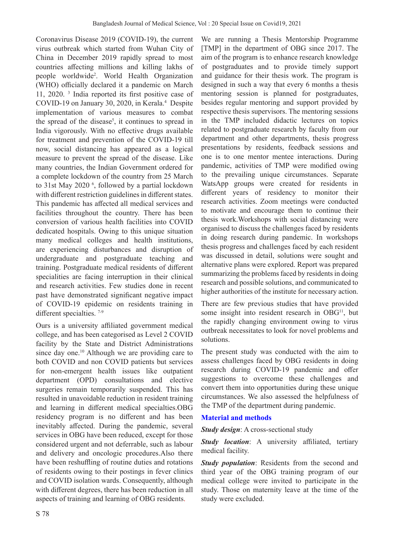Coronavirus Disease 2019 (COVID-19), the current virus outbreak which started from Wuhan City of China in December 2019 rapidly spread to most countries affecting millions and killing lakhs of people worldwide2 . World Health Organization (WHO) officially declared it a pandemic on March 11, 2020. 3 India reported its first positive case of COVID-19 on January 30, 2020, in Kerala.4 Despite implementation of various measures to combat the spread of the disease<sup>5</sup>, it continues to spread in India vigorously. With no effective drugs available for treatment and prevention of the COVID-19 till now, social distancing has appeared as a logical measure to prevent the spread of the disease. Like many countries, the Indian Government ordered for a complete lockdown of the country from 25 March to 31st May 2020<sup>6</sup>, followed by a partial lockdown with different restriction guidelines in different states. This pandemic has affected all medical services and facilities throughout the country. There has been conversion of various health facilities into COVID dedicated hospitals. Owing to this unique situation many medical colleges and health institutions, are experiencing disturbances and disruption of undergraduate and postgraduate teaching and training. Postgraduate medical residents of different specialities are facing interruption in their clinical and research activities. Few studies done in recent past have demonstrated significant negative impact of COVID-19 epidemic on residents training in different specialties.<sup>7-9</sup>

Ours is a university affiliated government medical college, and has been categorised as Level 2 COVID facility by the State and District Administrations since day one.<sup>10</sup> Although we are providing care to both COVID and non COVID patients but services for non-emergent health issues like outpatient department (OPD) consultations and elective surgeries remain temporarily suspended. This has resulted in unavoidable reduction in resident training and learning in different medical specialties.OBG residency program is no different and has been inevitably affected. During the pandemic, several services in OBG have been reduced, except for those considered urgent and not deferrable, such as labour and delivery and oncologic procedures.Also there have been reshuffling of routine duties and rotations of residents owing to their postings in fever clinics and COVID isolation wards. Consequently, although with different degrees, there has been reduction in all aspects of training and learning of OBG residents.

We are running a Thesis Mentorship Programme [TMP] in the department of OBG since 2017. The aim of the program is to enhance research knowledge of postgraduates and to provide timely support and guidance for their thesis work. The program is designed in such a way that every 6 months a thesis mentoring session is planned for postgraduates, besides regular mentoring and support provided by respective thesis supervisors. The mentoring sessions in the TMP included didactic lectures on topics related to postgraduate research by faculty from our department and other departments, thesis progress presentations by residents, feedback sessions and one is to one mentor mentee interactions. During pandemic, activities of TMP were modified owing to the prevailing unique circumstances. Separate WatsApp groups were created for residents in different years of residency to monitor their research activities. Zoom meetings were conducted to motivate and encourage them to continue their thesis work.Workshops with social distancing were organised to discuss the challenges faced by residents in doing research during pandemic. In workshops thesis progress and challenges faced by each resident was discussed in detail, solutions were sought and alternative plans were explored. Report was prepared summarizing the problems faced by residents in doing research and possible solutions, and communicated to higher authorities of the institute for necessary action.

There are few previous studies that have provided some insight into resident research in OBG<sup>11</sup>, but the rapidly changing environment owing to virus outbreak necessitates to look for novel problems and solutions.

The present study was conducted with the aim to assess challenges faced by OBG residents in doing research during COVID-19 pandemic and offer suggestions to overcome these challenges and convert them into opportunities during these unique circumstances. We also assessed the helpfulness of the TMP of the department during pandemic.

# **Material and methods**

*Study design*: A cross-sectional study

*Study location*: A university affiliated, tertiary medical facility.

*Study population*: Residents from the second and third year of the OBG training program of our medical college were invited to participate in the study. Those on maternity leave at the time of the study were excluded.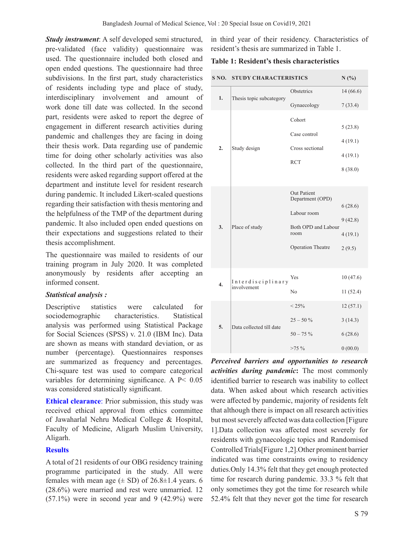*Study instrument*: A self developed semi structured, pre-validated (face validity) questionnaire was used. The questionnaire included both closed and open ended questions. The questionnaire had three subdivisions. In the first part, study characteristics of residents including type and place of study, interdisciplinary involvement and amount of work done till date was collected. In the second part, residents were asked to report the degree of engagement in different research activities during pandemic and challenges they are facing in doing their thesis work. Data regarding use of pandemic time for doing other scholarly activities was also collected. In the third part of the questionnaire, residents were asked regarding support offered at the department and institute level for resident research during pandemic. It included Likert-scaled questions regarding their satisfaction with thesis mentoring and the helpfulness of the TMP of the department during pandemic. It also included open ended questions on their expectations and suggestions related to their thesis accomplishment.

The questionnaire was mailed to residents of our training program in July 2020. It was completed anonymously by residents after accepting an informed consent.

#### *Statistical analysis :*

Descriptive statistics were calculated for sociodemographic characteristics. Statistical analysis was performed using Statistical Package for Social Sciences (SPSS) v. 21.0 (IBM Inc). Data are shown as means with standard deviation, or as number (percentage). Questionnaires responses are summarized as frequency and percentages. Chi-square test was used to compare categorical variables for determining significance. A P< 0.05 was considered statistically significant.

**Ethical clearance**: Prior submission, this study was received ethical approval from ethics committee of Jawaharlal Nehru Medical College & Hospital, Faculty of Medicine, Aligarh Muslim University, Aligarh.

### **Results**

A total of 21 residents of our OBG residency training programme participated in the study. All were females with mean age  $(\pm SD)$  of 26.8 $\pm$ 1.4 years. 6 (28.6%) were married and rest were unmarried. 12  $(57.1\%)$  were in second year and 9  $(42.9\%)$  were in third year of their residency. Characteristics of resident's thesis are summarized in Table 1.

#### **Table 1: Resident's thesis characteristics**

| S NO.            | <b>STUDY CHARACTERISTICS</b>     |                                                                                                                  | N(%)                                      |
|------------------|----------------------------------|------------------------------------------------------------------------------------------------------------------|-------------------------------------------|
| 1.               | Thesis topic subcategory         | Obstetrics                                                                                                       | 14(66.6)                                  |
|                  |                                  | Gynaecology                                                                                                      | 7(33.4)                                   |
| 2.               | Study design                     | Cohort<br>Case control<br>Cross sectional<br><b>RCT</b>                                                          | 5(23.8)<br>4(19.1)<br>4(19.1)<br>8(38.0)  |
| 3.               | Place of study                   | <b>Out Patient</b><br>Department (OPD)<br>Labour room<br>Both OPD and Labour<br>room<br><b>Operation Theatre</b> | 6(28.6)<br>9(42.8)<br>4(19.1)<br>2(9.5)   |
| $\overline{4}$ . | Interdisciplinary<br>involvement | Yes<br>No                                                                                                        | 10(47.6)<br>11(52.4)                      |
| 5.               | Data collected till date         | $< 25\%$<br>$25 - 50%$<br>$50 - 75%$<br>$>75\%$                                                                  | 12(57.1)<br>3(14.3)<br>6(28.6)<br>0(00.0) |

*Perceived barriers and opportunities to research activities during pandemic***:** The most commonly identified barrier to research was inability to collect data. When asked about which research activities were affected by pandemic, majority of residents felt that although there is impact on all research activities but most severely affected was data collection [Figure 1].Data collection was affected most severely for residents with gynaecologic topics and Randomised Controlled Trials[Figure 1,2].Other prominent barrier indicated was time constraints owing to residency duties.Only 14.3% felt that they get enough protected time for research during pandemic. 33.3 % felt that only sometimes they got the time for research while 52.4% felt that they never got the time for research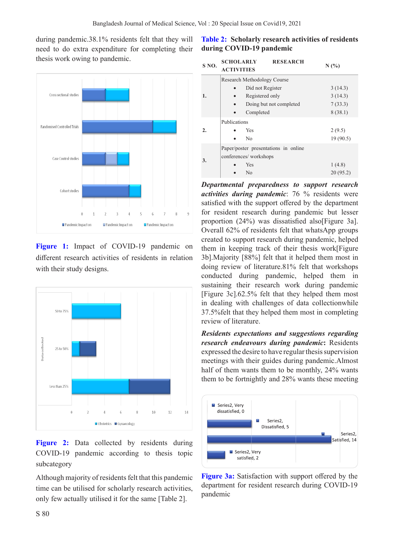during pandemic.38.1% residents felt that they will need to do extra expenditure for completing their thesis work owing to pandemic.



**Figure 1:** Impact of COVID-19 pandemic on different research activities of residents in relation with their study designs.



Figure 2: Data collected by residents during COVID-19 pandemic according to thesis topic subcategory

Although majority of residents felt that this pandemic time can be utilised for scholarly research activities, only few actually utilised it for the same [Table 2].

# **Table 2: Scholarly research activities of residents during COVID-19 pandemic**

| S <sub>NO</sub> . | <b>SCHOLARLY</b>                     | <b>RESEARCH</b>         | N(%)      |
|-------------------|--------------------------------------|-------------------------|-----------|
|                   | <b>ACTIVITIES</b>                    |                         |           |
|                   | Research Methodology Course          |                         |           |
| 1.                | Did not Register                     |                         | 3(14.3)   |
|                   | Registered only                      |                         | 3(14.3)   |
|                   |                                      | Doing but not completed | 7(33.3)   |
|                   | Completed                            |                         | 8(38.1)   |
| $\overline{2}$ .  | Publications                         |                         |           |
|                   | Yes                                  |                         | 2(9.5)    |
|                   | N <sub>0</sub>                       |                         | 19 (90.5) |
| 3.                | Paper/poster presentations in online |                         |           |
|                   | conferences/workshops                |                         |           |
|                   | Yes                                  |                         | 1(4.8)    |
|                   | No                                   |                         | 20(95.2)  |

*Departmental preparedness to support research activities during pandemic*: 76 % residents were satisfied with the support offered by the department for resident research during pandemic but lesser proportion (24%) was dissatisfied also[Figure 3a]. Overall 62% of residents felt that whatsApp groups created to support research during pandemic, helped them in keeping track of their thesis work[Figure 3b].Majority [88%] felt that it helped them most in doing review of literature.81% felt that workshops conducted during pandemic, helped them in sustaining their research work during pandemic [Figure 3c].62.5% felt that they helped them most in dealing with challenges of data collectionwhile 37.5%felt that they helped them most in completing review of literature.

*Residents expectations and suggestions regarding research endeavours during pandemic***:** Residents expressed the desire to have regular thesis supervision meetings with their guides during pandemic.Almost half of them wants them to be monthly, 24% wants them to be fortnightly and 28% wants these meeting



**Figure 3a:** Satisfaction with support offered by the department for resident research during COVID-19 pandemic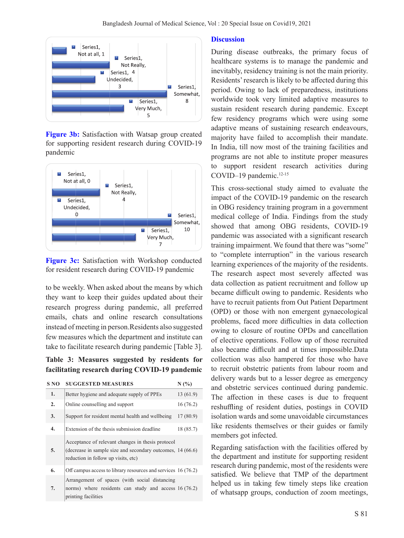

**Figure 3b:** Satisfaction with Watsap group created for supporting resident research during COVID-19 pandemic



**Figure 3c:** Satisfaction with Workshop conducted for resident research during COVID-19 pandemic

to be weekly. When asked about the means by which they want to keep their guides updated about their research progress during pandemic, all preferred emails, chats and online research consultations instead of meeting in person.Residents also suggested few measures which the department and institute can take to facilitate research during pandemic [Table 3].

**Table 3: Measures suggested by residents for facilitating research during COVID-19 pandemic**

| S NO             | <b>SUGGESTED MEASURES</b>                                                                                                                                 | N(%)      |
|------------------|-----------------------------------------------------------------------------------------------------------------------------------------------------------|-----------|
| 1.               | Better hygiene and adequate supply of PPEs                                                                                                                | 13(61.9)  |
| $\overline{2}$ . | Online counselling and support                                                                                                                            | 16(76.2)  |
| 3.               | Support for resident mental health and wellbeing                                                                                                          | 17(80.9)  |
| $\overline{4}$ . | Extension of the thesis submission deadline                                                                                                               | 18 (85.7) |
| 5.               | Acceptance of relevant changes in thesis protocol<br>(decrease in sample size and secondary outcomes, $14(66.6)$ )<br>reduction in follow up visits, etc) |           |
| 6.               | Off campus access to library resources and services 16 (76.2)                                                                                             |           |
| 7.               | Arrangement of spaces (with social distancing<br>norms) where residents can study and access $16(76.2)$<br>printing facilities                            |           |

#### **Discussion**

During disease outbreaks, the primary focus of healthcare systems is to manage the pandemic and inevitably, residency training is not the main priority. Residents' research is likely to be affected during this period. Owing to lack of preparedness, institutions worldwide took very limited adaptive measures to sustain resident research during pandemic. Except few residency programs which were using some adaptive means of sustaining research endeavours, majority have failed to accomplish their mandate. In India, till now most of the training facilities and programs are not able to institute proper measures to support resident research activities during COVID-19 pandemic.<sup>12-15</sup>

This cross-sectional study aimed to evaluate the impact of the COVID-19 pandemic on the research in OBG residency training program in a government medical college of India. Findings from the study showed that among OBG residents, COVID-19 pandemic was associated with a significant research training impairment. We found that there was "some" to "complete interruption" in the various research learning experiences of the majority of the residents. The research aspect most severely affected was data collection as patient recruitment and follow up became difficult owing to pandemic. Residents who have to recruit patients from Out Patient Department (OPD) or those with non emergent gynaecological problems, faced more difficulties in data collection owing to closure of routine OPDs and cancellation of elective operations. Follow up of those recruited also became difficult and at times impossible.Data collection was also hampered for those who have to recruit obstetric patients from labour room and delivery wards but to a lesser degree as emergency and obstetric services continued during pandemic. The affection in these cases is due to frequent reshuffling of resident duties, postings in COVID isolation wards and some unavoidable circumstances like residents themselves or their guides or family members got infected.

Regarding satisfaction with the facilities offered by the department and institute for supporting resident research during pandemic, most of the residents were satisfied. We believe that TMP of the department helped us in taking few timely steps like creation of whatsapp groups, conduction of zoom meetings,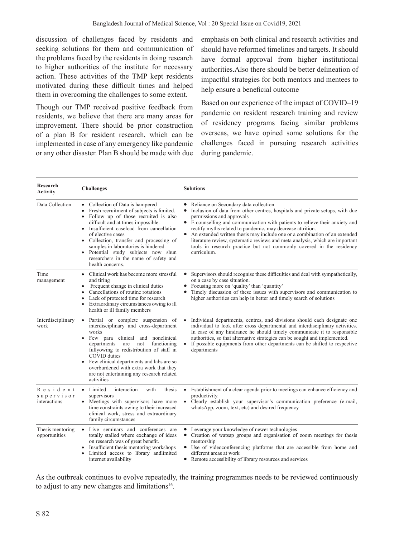discussion of challenges faced by residents and seeking solutions for them and communication of the problems faced by the residents in doing research to higher authorities of the institute for necessary action. These activities of the TMP kept residents motivated during these difficult times and helped them in overcoming the challenges to some extent.

Though our TMP received positive feedback from residents, we believe that there are many areas for improvement. There should be prior construction of a plan B for resident research, which can be implemented in case of any emergency like pandemic or any other disaster. Plan B should be made with due

emphasis on both clinical and research activities and should have reformed timelines and targets. It should have formal approval from higher institutional authorities.Also there should be better delineation of impactful strategies for both mentors and mentees to help ensure a beneficial outcome

Based on our experience of the impact of COVID–19 pandemic on resident research training and review of residency programs facing similar problems overseas, we have opined some solutions for the challenges faced in pursuing research activities during pandemic.

| Research<br><b>Activity</b>            | <b>Challenges</b>                                                                                                                                                                                                                                                                                                                                                                                                                  | <b>Solutions</b>                                                                                                                                                                                                                                                                                                                                                                                                                                                                                                                                                                |  |
|----------------------------------------|------------------------------------------------------------------------------------------------------------------------------------------------------------------------------------------------------------------------------------------------------------------------------------------------------------------------------------------------------------------------------------------------------------------------------------|---------------------------------------------------------------------------------------------------------------------------------------------------------------------------------------------------------------------------------------------------------------------------------------------------------------------------------------------------------------------------------------------------------------------------------------------------------------------------------------------------------------------------------------------------------------------------------|--|
| Data Collection                        | • Collection of Data is hampered<br>Fresh recruitment of subjects is limited.<br>$\bullet$<br>Follow up of those recruited is also<br>difficult and at times impossible.<br>• Insufficient caseload from cancellation<br>of elective cases<br>• Collection, transfer and processing of<br>samples in laboratories is hindered.<br>• Potential study subjects now shun<br>researchers in the name of safety and<br>health concerns. | Reliance on Secondary data collection<br>Inclusion of data from other centres, hospitals and private setups, with due<br>$\bullet$<br>permissions and approvals<br>• E counselling and communication with patients to relieve their anxiety and<br>rectify myths related to pandemic, may decrease attrition.<br>An extended written thesis may include one or a combination of an extended<br>$\bullet$<br>literature review, systematic reviews and meta analysis, which are important<br>tools in research practice but not commonly covered in the residency<br>curriculum. |  |
| Time<br>management                     | • Clinical work has become more stressful<br>and tiring<br>Frequent change in clinical duties<br>$\bullet$<br>Cancellations of routine rotations<br>Lack of protected time for research<br>٠<br>Extraordinary circumstances owing to ill<br>health or ill family members                                                                                                                                                           | Supervisors should recognise these difficulties and deal with sympathetically,<br>on a case by case situation.<br>Focusing more on 'quality' than 'quantity'<br>Timely discussion of these issues with supervisors and communication to<br>higher authorities can help in better and timely search of solutions                                                                                                                                                                                                                                                                 |  |
| Interdisciplinary<br>work              | Partial or complete suspension of<br>$\bullet$<br>interdisciplinary and cross-department<br>works<br>• Few para clinical and nonclinical<br>departments<br>functioning<br>are<br>not<br>fullyowing to redistribution of staff in<br>COVID duties<br>• Few clinical departments and labs are so<br>overburdened with extra work that they<br>are not entertaining any research related<br>activities                                | Individual departments, centres, and divisions should each designate one<br>individual to look after cross departmental and interdisciplinary activities.<br>In case of any hindrance he should timely communicate it to responsible<br>authorities, so that alternative strategies can be sought and implemented.<br>If possible equipments from other departments can be shifted to respective<br>departments                                                                                                                                                                 |  |
| Resident<br>supervisor<br>interactions | • Limited<br>interaction<br>with<br>thesis<br>supervisors<br>• Meetings with supervisors have more<br>time constraints owing to their increased<br>clinical work, stress and extraordinary<br>family circumstances                                                                                                                                                                                                                 | Establishment of a clear agenda prior to meetings can enhance efficiency and<br>productivity.<br>• Clearly establish your supervisor's communication preference (e-mail,<br>whatsApp, zoom, text, etc) and desired frequency                                                                                                                                                                                                                                                                                                                                                    |  |
| Thesis mentoring<br>opportunities      | • Live seminars and conferences are<br>totally stalled where exchange of ideas<br>on research was of great benefit.<br>Insufficient thesis mentoring workshops<br>$\bullet$<br>Limited access to library and limited<br>internet availability                                                                                                                                                                                      | Leverage your knowledge of newer technologies<br>• Creation of watsap groups and organisation of zoom meetings for thesis<br>mentorship<br>• Use of videoconferencing platforms that are accessible from home and<br>different areas at work<br>• Remote accessibility of library resources and services                                                                                                                                                                                                                                                                        |  |

As the outbreak continues to evolve repeatedly, the training programmes needs to be reviewed continuously to adjust to any new changes and limitations<sup>16</sup>.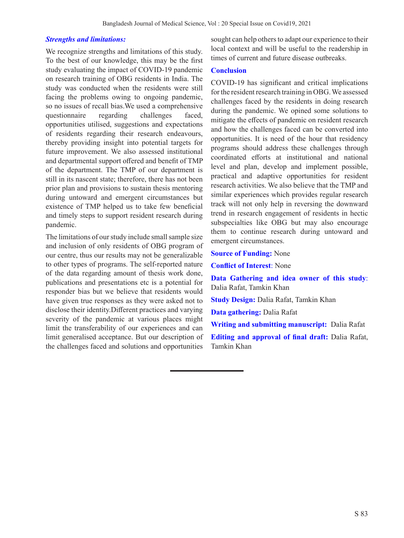### *Strengths and limitations:*

We recognize strengths and limitations of this study. To the best of our knowledge, this may be the first study evaluating the impact of COVID-19 pandemic on research training of OBG residents in India. The study was conducted when the residents were still facing the problems owing to ongoing pandemic, so no issues of recall bias.We used a comprehensive questionnaire regarding challenges faced, opportunities utilised, suggestions and expectations of residents regarding their research endeavours, thereby providing insight into potential targets for future improvement. We also assessed institutional and departmental support offered and benefit of TMP of the department. The TMP of our department is still in its nascent state; therefore, there has not been prior plan and provisions to sustain thesis mentoring during untoward and emergent circumstances but existence of TMP helped us to take few beneficial and timely steps to support resident research during pandemic.

The limitations of our study include small sample size and inclusion of only residents of OBG program of our centre, thus our results may not be generalizable to other types of programs. The self-reported nature of the data regarding amount of thesis work done, publications and presentations etc is a potential for responder bias but we believe that residents would have given true responses as they were asked not to disclose their identity.Different practices and varying severity of the pandemic at various places might limit the transferability of our experiences and can limit generalised acceptance. But our description of the challenges faced and solutions and opportunities

sought can help others to adapt our experience to their local context and will be useful to the readership in times of current and future disease outbreaks.

#### **Conclusion**

COVID-19 has significant and critical implications for the resident research training in OBG. We assessed challenges faced by the residents in doing research during the pandemic. We opined some solutions to mitigate the effects of pandemic on resident research and how the challenges faced can be converted into opportunities. It is need of the hour that residency programs should address these challenges through coordinated efforts at institutional and national level and plan, develop and implement possible, practical and adaptive opportunities for resident research activities. We also believe that the TMP and similar experiences which provides regular research track will not only help in reversing the downward trend in research engagement of residents in hectic subspecialties like OBG but may also encourage them to continue research during untoward and emergent circumstances.

**Source of Funding:** None

**Conflict of Interest**: None

**Data Gathering and idea owner of this study**: Dalia Rafat, Tamkin Khan

**Study Design:** Dalia Rafat, Tamkin Khan

**Data gathering:** Dalia Rafat

**Writing and submitting manuscript:** Dalia Rafat **Editing and approval of final draft:** Dalia Rafat, Tamkin Khan